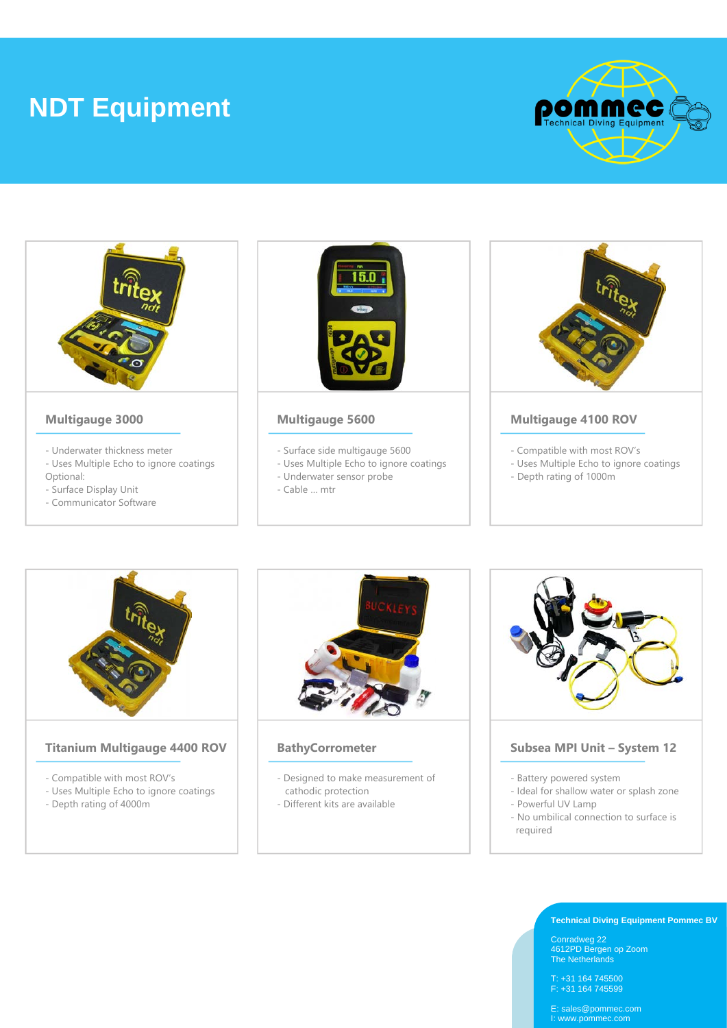# **NDT Equipment**







## **Titanium Multigauge 4400 ROV**

- Compatible with most ROV's
- Uses Multiple Echo to ignore coatings
- Depth rating of 4000m



# **BathyCorrometer**

- Designed to make measurement of cathodic protection
- Different kits are available



### **Subsea MPI Unit – System 12**

- Battery powered system
- Ideal for shallow water or splash zone
- Powerful UV Lamp
- No umbilical connection to surface is required

#### **Technical Diving Equipment Pommec BV**

Conradweg 22 4612PD Bergen op Zoom The Netherlands

T: +31 164 745500 F: +31 164 745599

E: sales@pommec.com I: www.pommec.com